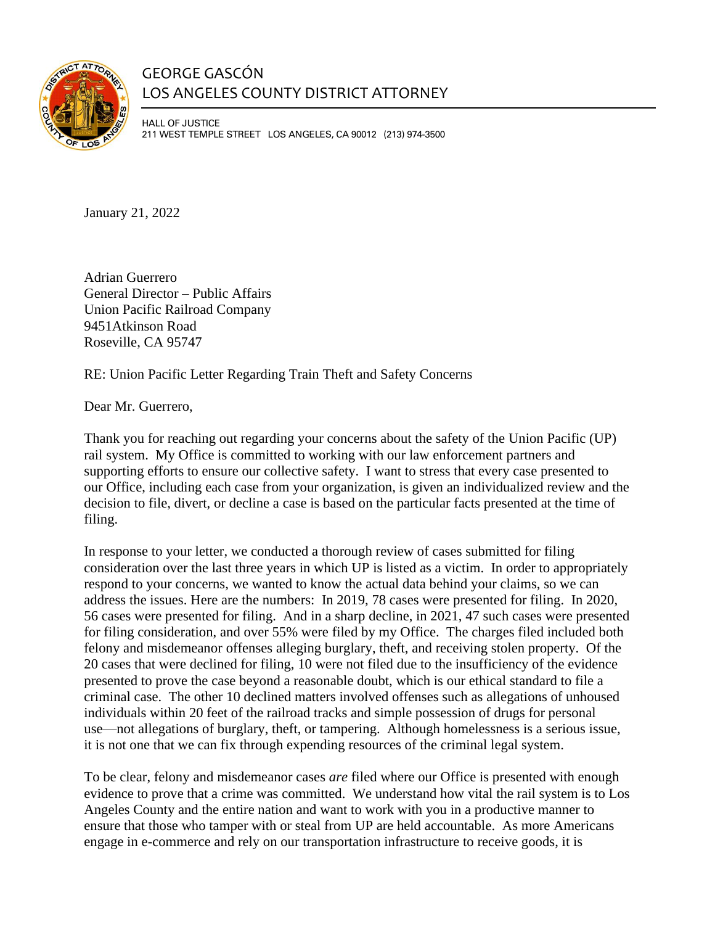

## GEORGE GASCÓN LOS ANGELES COUNTY DISTRICT ATTORNEY

HALL OF JUSTICE 211 WEST TEMPLE STREET LOS ANGELES, CA 90012 (213) 974-3500

January 21, 2022

Adrian Guerrero General Director – Public Affairs Union Pacific Railroad Company 9451Atkinson Road Roseville, CA 95747

RE: Union Pacific Letter Regarding Train Theft and Safety Concerns

Dear Mr. Guerrero,

Thank you for reaching out regarding your concerns about the safety of the Union Pacific (UP) rail system. My Office is committed to working with our law enforcement partners and supporting efforts to ensure our collective safety. I want to stress that every case presented to our Office, including each case from your organization, is given an individualized review and the decision to file, divert, or decline a case is based on the particular facts presented at the time of filing.

In response to your letter, we conducted a thorough review of cases submitted for filing consideration over the last three years in which UP is listed as a victim. In order to appropriately respond to your concerns, we wanted to know the actual data behind your claims, so we can address the issues. Here are the numbers: In 2019, 78 cases were presented for filing. In 2020, 56 cases were presented for filing. And in a sharp decline, in 2021, 47 such cases were presented for filing consideration, and over 55% were filed by my Office. The charges filed included both felony and misdemeanor offenses alleging burglary, theft, and receiving stolen property. Of the 20 cases that were declined for filing, 10 were not filed due to the insufficiency of the evidence presented to prove the case beyond a reasonable doubt, which is our ethical standard to file a criminal case. The other 10 declined matters involved offenses such as allegations of unhoused individuals within 20 feet of the railroad tracks and simple possession of drugs for personal use—not allegations of burglary, theft, or tampering. Although homelessness is a serious issue, it is not one that we can fix through expending resources of the criminal legal system.

To be clear, felony and misdemeanor cases *are* filed where our Office is presented with enough evidence to prove that a crime was committed. We understand how vital the rail system is to Los Angeles County and the entire nation and want to work with you in a productive manner to ensure that those who tamper with or steal from UP are held accountable. As more Americans engage in e-commerce and rely on our transportation infrastructure to receive goods, it is